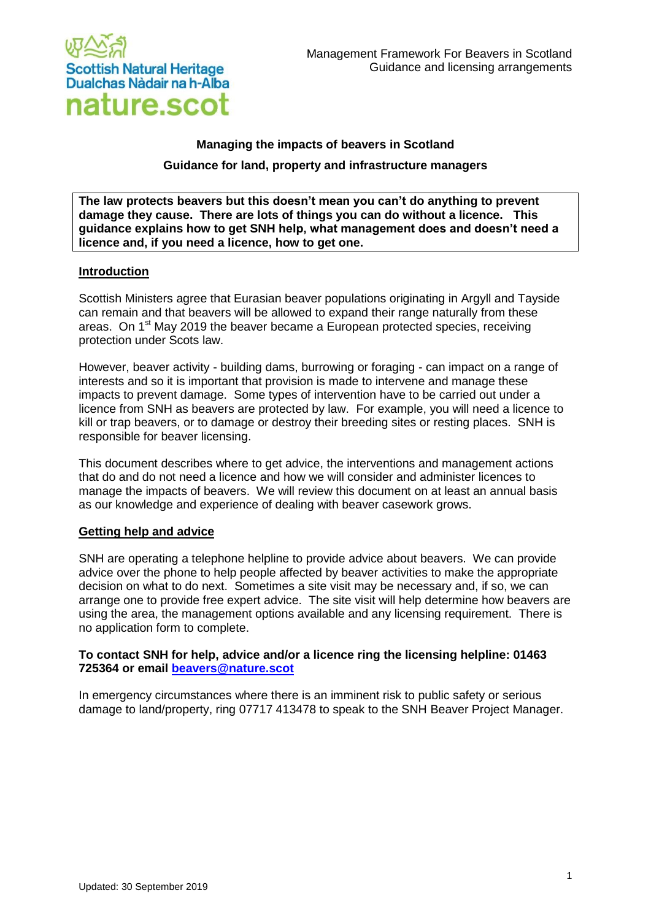

# **Managing the impacts of beavers in Scotland Guidance for land, property and infrastructure managers**

**The law protects beavers but this doesn't mean you can't do anything to prevent damage they cause. There are lots of things you can do without a licence. This guidance explains how to get SNH help, what management does and doesn't need a licence and, if you need a licence, how to get one.**

## **Introduction**

Scottish Ministers agree that Eurasian beaver populations originating in Argyll and Tayside can remain and that beavers will be allowed to expand their range naturally from these areas. On 1<sup>st</sup> May 2019 the beaver became a European protected species, receiving protection under Scots law.

However, beaver activity - building dams, burrowing or foraging - can impact on a range of interests and so it is important that provision is made to intervene and manage these impacts to prevent damage. Some types of intervention have to be carried out under a licence from SNH as beavers are protected by law. For example, you will need a licence to kill or trap beavers, or to damage or destroy their breeding sites or resting places. SNH is responsible for beaver licensing.

This document describes where to get advice, the interventions and management actions that do and do not need a licence and how we will consider and administer licences to manage the impacts of beavers. We will review this document on at least an annual basis as our knowledge and experience of dealing with beaver casework grows.

#### **Getting help and advice**

SNH are operating a telephone helpline to provide advice about beavers. We can provide advice over the phone to help people affected by beaver activities to make the appropriate decision on what to do next. Sometimes a site visit may be necessary and, if so, we can arrange one to provide free expert advice. The site visit will help determine how beavers are using the area, the management options available and any licensing requirement. There is no application form to complete.

## **To contact SNH for help, advice and/or a licence ring the licensing helpline: 01463 725364 or email [beavers@nature.scot](mailto:beavers@nature.scot)**

In emergency circumstances where there is an imminent risk to public safety or serious damage to land/property, ring 07717 413478 to speak to the SNH Beaver Project Manager.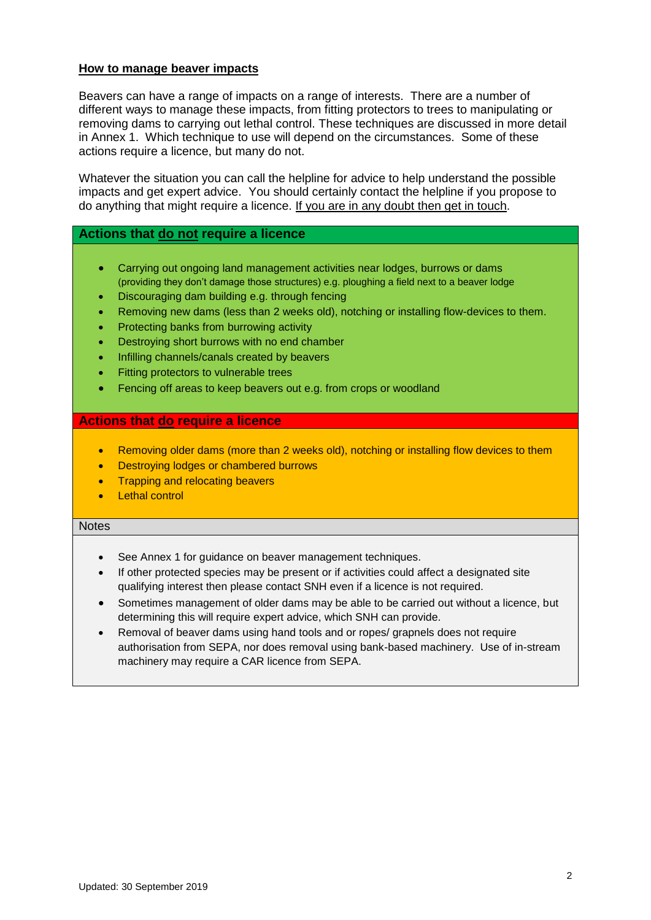## **How to manage beaver impacts**

Beavers can have a range of impacts on a range of interests. There are a number of different ways to manage these impacts, from fitting protectors to trees to manipulating or removing dams to carrying out lethal control. These techniques are discussed in more detail in Annex 1. Which technique to use will depend on the circumstances. Some of these actions require a licence, but many do not.

Whatever the situation you can call the helpline for advice to help understand the possible impacts and get expert advice. You should certainly contact the helpline if you propose to do anything that might require a licence. If you are in any doubt then get in touch.

# **Actions that do not require a licence**

- Carrying out ongoing land management activities near lodges, burrows or dams (providing they don't damage those structures) e.g. ploughing a field next to a beaver lodge
- Discouraging dam building e.g. through fencing
- Removing new dams (less than 2 weeks old), notching or installing flow-devices to them.
- Protecting banks from burrowing activity
- Destroying short burrows with no end chamber
- Infilling channels/canals created by beavers
- Fitting protectors to vulnerable trees
- Fencing off areas to keep beavers out e.g. from crops or woodland

#### **Actions that do require a licence**

- Removing older dams (more than 2 weeks old), notching or installing flow devices to them
- Destroying lodges or chambered burrows
- Trapping and relocating beavers
- Lethal control

#### **Notes**

- See Annex 1 for guidance on beaver management techniques.
- If other protected species may be present or if activities could affect a designated site qualifying interest then please contact SNH even if a licence is not required.
- Sometimes management of older dams may be able to be carried out without a licence, but determining this will require expert advice, which SNH can provide.
- Removal of beaver dams using hand tools and or ropes/ grapnels does not require authorisation from SEPA, nor does removal using bank-based machinery. Use of in-stream machinery may require a CAR licence from SEPA.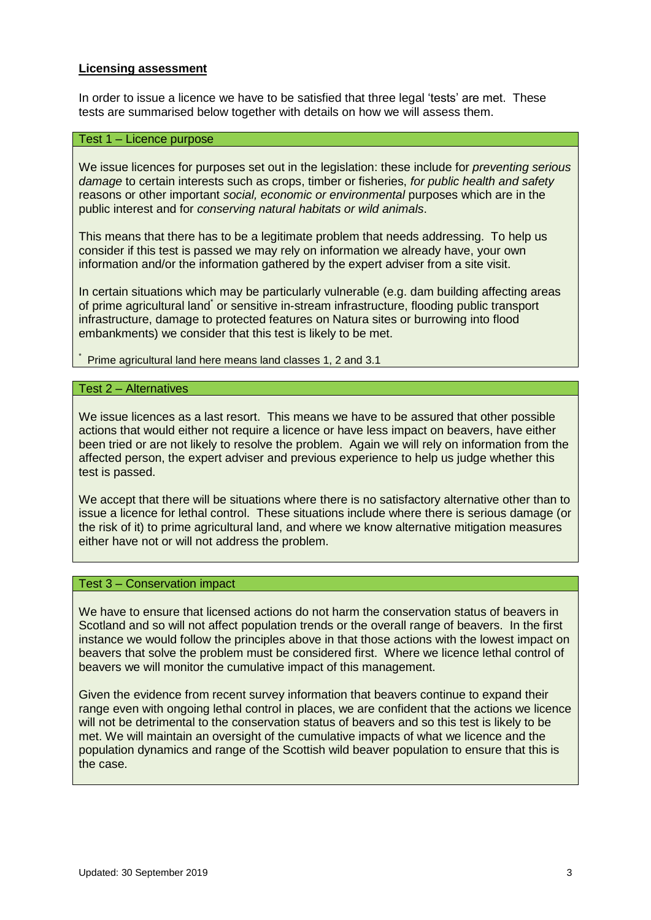#### **Licensing assessment**

In order to issue a licence we have to be satisfied that three legal 'tests' are met. These tests are summarised below together with details on how we will assess them.

# Test 1 – Licence purpose

We issue licences for purposes set out in the legislation: these include for *preventing serious damage* to certain interests such as crops, timber or fisheries, *for public health and safety*  reasons or other important *social, economic or environmental* purposes which are in the public interest and for *conserving natural habitats or wild animals*.

This means that there has to be a legitimate problem that needs addressing. To help us consider if this test is passed we may rely on information we already have, your own information and/or the information gathered by the expert adviser from a site visit.

In certain situations which may be particularly vulnerable (e.g. dam building affecting areas of prime agricultural land<sup>\*</sup> or sensitive in-stream infrastructure, flooding public transport infrastructure, damage to protected features on Natura sites or burrowing into flood embankments) we consider that this test is likely to be met.

\* Prime agricultural land here means land classes 1, 2 and 3.1

#### Test 2 – Alternatives

We issue licences as a last resort. This means we have to be assured that other possible actions that would either not require a licence or have less impact on beavers, have either been tried or are not likely to resolve the problem. Again we will rely on information from the affected person, the expert adviser and previous experience to help us judge whether this test is passed.

We accept that there will be situations where there is no satisfactory alternative other than to issue a licence for lethal control. These situations include where there is serious damage (or the risk of it) to prime agricultural land, and where we know alternative mitigation measures either have not or will not address the problem.

## Test 3 – Conservation impact

We have to ensure that licensed actions do not harm the conservation status of beavers in Scotland and so will not affect population trends or the overall range of beavers. In the first instance we would follow the principles above in that those actions with the lowest impact on beavers that solve the problem must be considered first. Where we licence lethal control of beavers we will monitor the cumulative impact of this management.

Given the evidence from recent survey information that beavers continue to expand their range even with ongoing lethal control in places, we are confident that the actions we licence will not be detrimental to the conservation status of beavers and so this test is likely to be met. We will maintain an oversight of the cumulative impacts of what we licence and the population dynamics and range of the Scottish wild beaver population to ensure that this is the case.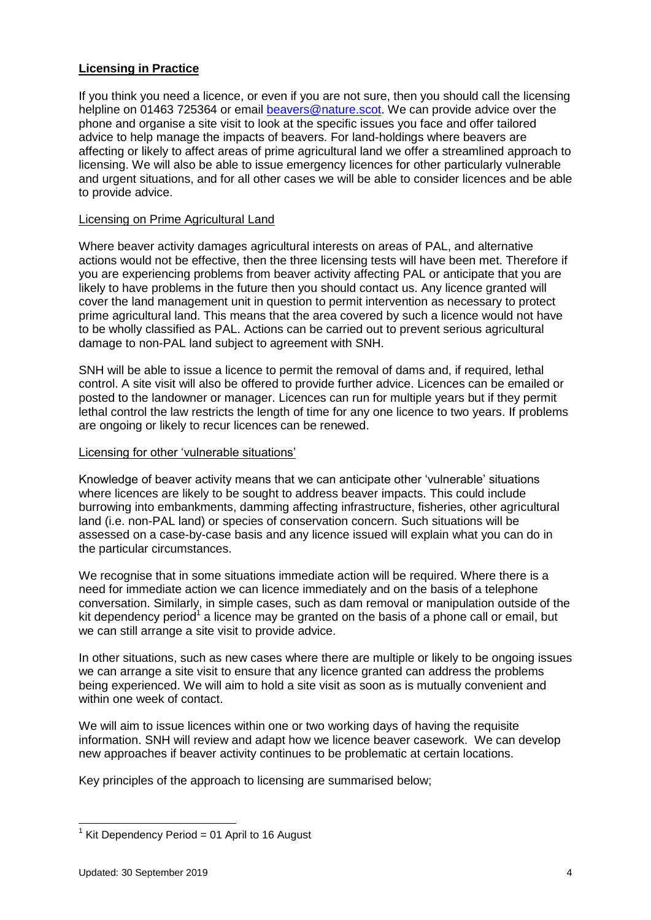# **Licensing in Practice**

If you think you need a licence, or even if you are not sure, then you should call the licensing helpline on 01463 725364 or email [beavers@nature.scot.](mailto:beavers@nature.scot) We can provide advice over the phone and organise a site visit to look at the specific issues you face and offer tailored advice to help manage the impacts of beavers. For land-holdings where beavers are affecting or likely to affect areas of prime agricultural land we offer a streamlined approach to licensing. We will also be able to issue emergency licences for other particularly vulnerable and urgent situations, and for all other cases we will be able to consider licences and be able to provide advice.

# Licensing on Prime Agricultural Land

Where beaver activity damages agricultural interests on areas of PAL, and alternative actions would not be effective, then the three licensing tests will have been met. Therefore if you are experiencing problems from beaver activity affecting PAL or anticipate that you are likely to have problems in the future then you should contact us. Any licence granted will cover the land management unit in question to permit intervention as necessary to protect prime agricultural land. This means that the area covered by such a licence would not have to be wholly classified as PAL. Actions can be carried out to prevent serious agricultural damage to non-PAL land subject to agreement with SNH.

SNH will be able to issue a licence to permit the removal of dams and, if required, lethal control. A site visit will also be offered to provide further advice. Licences can be emailed or posted to the landowner or manager. Licences can run for multiple years but if they permit lethal control the law restricts the length of time for any one licence to two years. If problems are ongoing or likely to recur licences can be renewed.

## Licensing for other 'vulnerable situations'

Knowledge of beaver activity means that we can anticipate other 'vulnerable' situations where licences are likely to be sought to address beaver impacts. This could include burrowing into embankments, damming affecting infrastructure, fisheries, other agricultural land (i.e. non-PAL land) or species of conservation concern. Such situations will be assessed on a case-by-case basis and any licence issued will explain what you can do in the particular circumstances.

We recognise that in some situations immediate action will be required. Where there is a need for immediate action we can licence immediately and on the basis of a telephone conversation. Similarly, in simple cases, such as dam removal or manipulation outside of the kit dependency period<sup>1</sup> a licence may be granted on the basis of a phone call or email, but we can still arrange a site visit to provide advice.

In other situations, such as new cases where there are multiple or likely to be ongoing issues we can arrange a site visit to ensure that any licence granted can address the problems being experienced. We will aim to hold a site visit as soon as is mutually convenient and within one week of contact.

We will aim to issue licences within one or two working days of having the requisite information. SNH will review and adapt how we licence beaver casework. We can develop new approaches if beaver activity continues to be problematic at certain locations.

Key principles of the approach to licensing are summarised below;

<sup>-</sup> $1$  Kit Dependency Period = 01 April to 16 August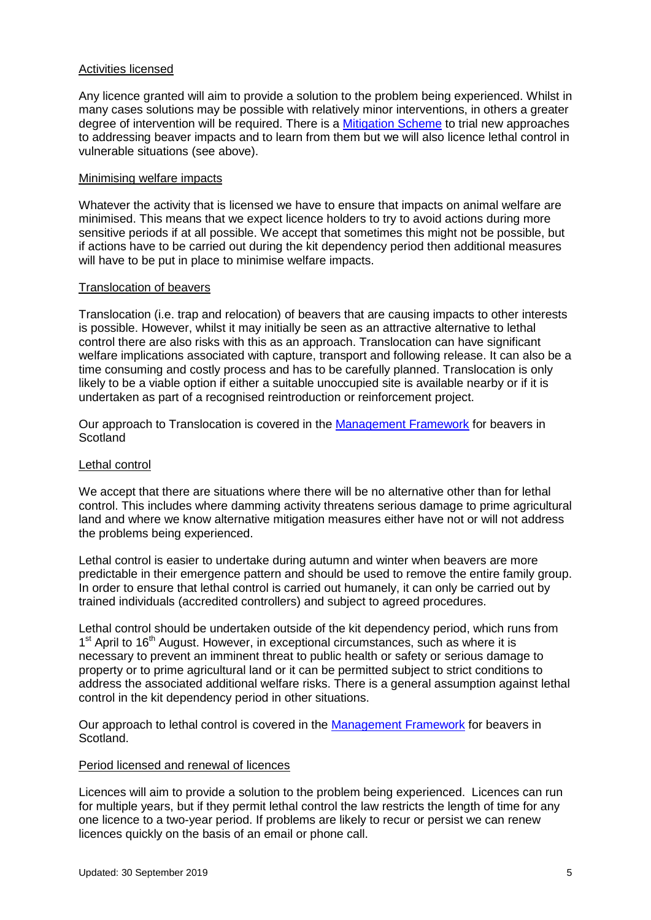## Activities licensed

Any licence granted will aim to provide a solution to the problem being experienced. Whilst in many cases solutions may be possible with relatively minor interventions, in others a greater degree of intervention will be required. There is a [Mitigation Scheme](https://www.nature.scot/professional-advice/safeguarding-protected-areas-and-species/protected-species/protected-species-z-guide/protected-species-beaver/beaver-mitigation) to trial new approaches to addressing beaver impacts and to learn from them but we will also licence lethal control in vulnerable situations (see above).

#### Minimising welfare impacts

Whatever the activity that is licensed we have to ensure that impacts on animal welfare are minimised. This means that we expect licence holders to try to avoid actions during more sensitive periods if at all possible. We accept that sometimes this might not be possible, but if actions have to be carried out during the kit dependency period then additional measures will have to be put in place to minimise welfare impacts.

## Translocation of beavers

Translocation (i.e. trap and relocation) of beavers that are causing impacts to other interests is possible. However, whilst it may initially be seen as an attractive alternative to lethal control there are also risks with this as an approach. Translocation can have significant welfare implications associated with capture, transport and following release. It can also be a time consuming and costly process and has to be carefully planned. Translocation is only likely to be a viable option if either a suitable unoccupied site is available nearby or if it is undertaken as part of a recognised reintroduction or reinforcement project.

Our approach to Translocation is covered in the [Management Framework](https://www.nature.scot/professional-advice/safeguarding-protected-areas-and-species/protected-species/protected-species-z-guide/protected-species-beaver/management) for beavers in **Scotland** 

# Lethal control

We accept that there are situations where there will be no alternative other than for lethal control. This includes where damming activity threatens serious damage to prime agricultural land and where we know alternative mitigation measures either have not or will not address the problems being experienced.

Lethal control is easier to undertake during autumn and winter when beavers are more predictable in their emergence pattern and should be used to remove the entire family group. In order to ensure that lethal control is carried out humanely, it can only be carried out by trained individuals (accredited controllers) and subject to agreed procedures.

Lethal control should be undertaken outside of the kit dependency period, which runs from 1<sup>st</sup> April to 16<sup>th</sup> August. However, in exceptional circumstances, such as where it is necessary to prevent an imminent threat to public health or safety or serious damage to property or to prime agricultural land or it can be permitted subject to strict conditions to address the associated additional welfare risks. There is a general assumption against lethal control in the kit dependency period in other situations.

Our approach to lethal control is covered in the [Management Framework](https://www.nature.scot/professional-advice/safeguarding-protected-areas-and-species/protected-species/protected-species-z-guide/protected-species-beaver/management) for beavers in Scotland.

#### Period licensed and renewal of licences

Licences will aim to provide a solution to the problem being experienced. Licences can run for multiple years, but if they permit lethal control the law restricts the length of time for any one licence to a two-year period. If problems are likely to recur or persist we can renew licences quickly on the basis of an email or phone call.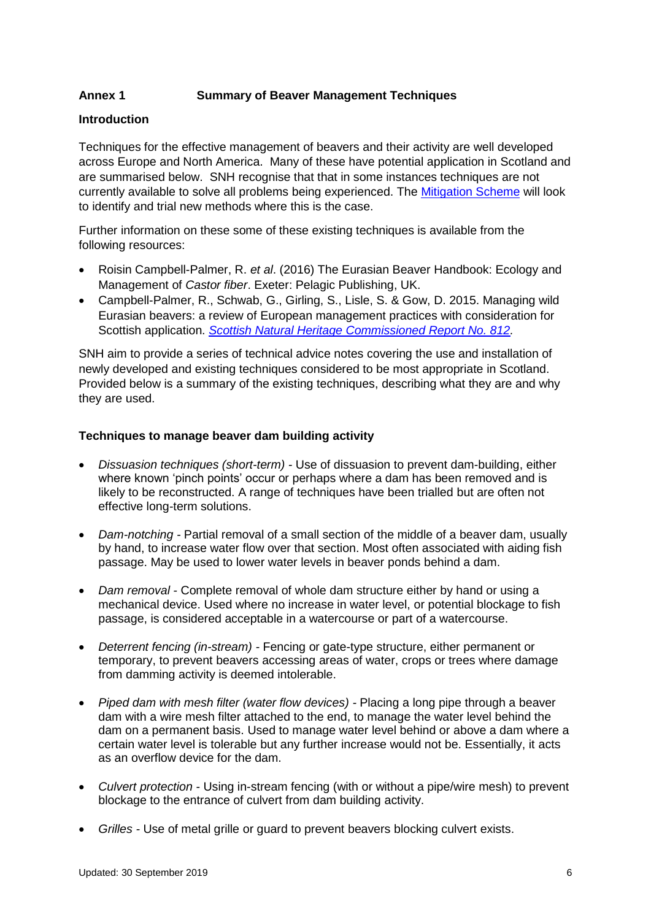# **Annex 1 Summary of Beaver Management Techniques**

# **Introduction**

Techniques for the effective management of beavers and their activity are well developed across Europe and North America. Many of these have potential application in Scotland and are summarised below. SNH recognise that that in some instances techniques are not currently available to solve all problems being experienced. The [Mitigation Scheme](https://www.nature.scot/professional-advice/safeguarding-protected-areas-and-species/protected-species/protected-species-z-guide/protected-species-beaver/beaver-mitigation) will look to identify and trial new methods where this is the case.

Further information on these some of these existing techniques is available from the following resources:

- Roisin Campbell-Palmer, R. *et al*. (2016) The Eurasian Beaver Handbook: Ecology and Management of *Castor fiber*. Exeter: Pelagic Publishing, UK.
- Campbell-Palmer, R., Schwab, G., Girling, S., Lisle, S. & Gow, D. 2015. Managing wild Eurasian beavers: a review of European management practices with consideration for Scottish application. *[Scottish Natural Heritage Commissioned Report No. 812.](https://www.nature.scot/sites/default/files/2017-07/Publication%202015%20-%20SNH%20Commissioned%20Report%20812%20-%20Managing%20wild%20Eurasian%20beavers%20a%20review%20of%20European%20management%20practices%20with%20consideration%20for%20Scottish%20application.pdf)*

SNH aim to provide a series of technical advice notes covering the use and installation of newly developed and existing techniques considered to be most appropriate in Scotland. Provided below is a summary of the existing techniques, describing what they are and why they are used.

## **Techniques to manage beaver dam building activity**

- *Dissuasion techniques (short-term) -* Use of dissuasion to prevent dam-building, either where known 'pinch points' occur or perhaps where a dam has been removed and is likely to be reconstructed. A range of techniques have been trialled but are often not effective long-term solutions.
- *Dam-notching -* Partial removal of a small section of the middle of a beaver dam, usually by hand, to increase water flow over that section. Most often associated with aiding fish passage. May be used to lower water levels in beaver ponds behind a dam.
- *Dam removal -* Complete removal of whole dam structure either by hand or using a mechanical device. Used where no increase in water level, or potential blockage to fish passage, is considered acceptable in a watercourse or part of a watercourse.
- *Deterrent fencing (in-stream) -* Fencing or gate-type structure, either permanent or temporary, to prevent beavers accessing areas of water, crops or trees where damage from damming activity is deemed intolerable.
- *Piped dam with mesh filter (water flow devices) -* Placing a long pipe through a beaver dam with a wire mesh filter attached to the end, to manage the water level behind the dam on a permanent basis. Used to manage water level behind or above a dam where a certain water level is tolerable but any further increase would not be. Essentially, it acts as an overflow device for the dam.
- *Culvert protection -* Using in-stream fencing (with or without a pipe/wire mesh) to prevent blockage to the entrance of culvert from dam building activity.
- *Grilles -* Use of metal grille or guard to prevent beavers blocking culvert exists.